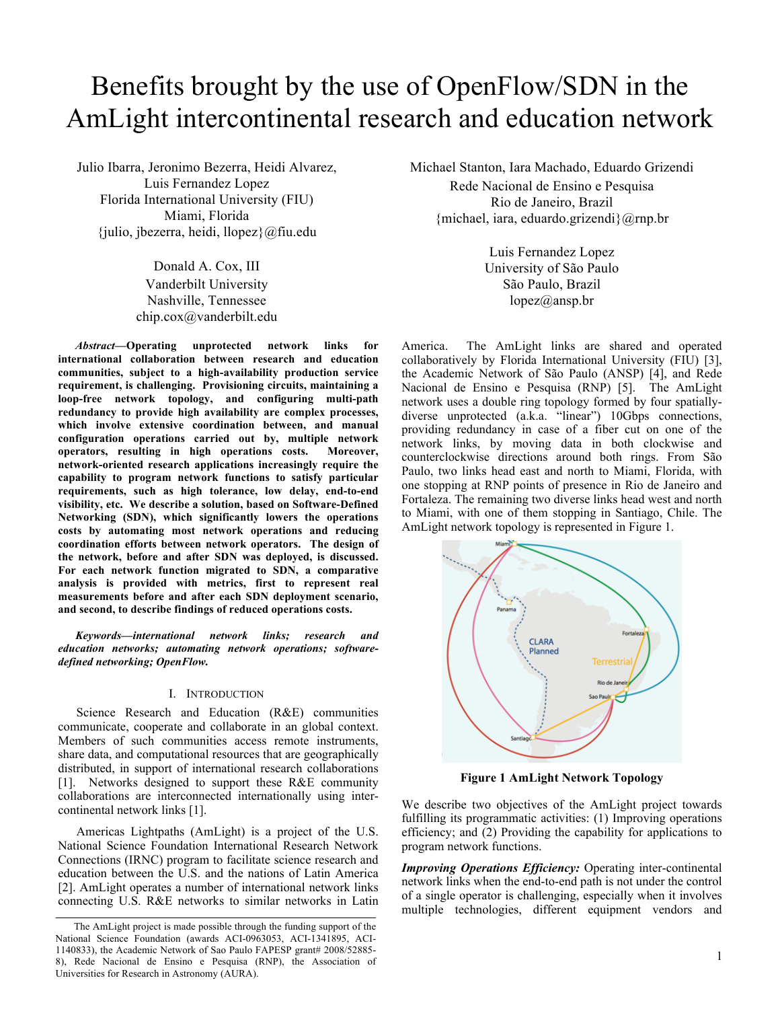# Benefits brought by the use of OpenFlow/SDN in the AmLight intercontinental research and education network

Julio Ibarra, Jeronimo Bezerra, Heidi Alvarez, Luis Fernandez Lopez Florida International University (FIU) Miami, Florida {julio, jbezerra, heidi, llopez}@fiu.edu

> Donald A. Cox, III Vanderbilt University Nashville, Tennessee chip.cox@vanderbilt.edu

*Abstract***—Operating unprotected network links for international collaboration between research and education communities, subject to a high-availability production service requirement, is challenging. Provisioning circuits, maintaining a loop-free network topology, and configuring multi-path redundancy to provide high availability are complex processes, which involve extensive coordination between, and manual configuration operations carried out by, multiple network operators, resulting in high operations costs. Moreover, network-oriented research applications increasingly require the capability to program network functions to satisfy particular requirements, such as high tolerance, low delay, end-to-end visibility, etc. We describe a solution, based on Software-Defined Networking (SDN), which significantly lowers the operations costs by automating most network operations and reducing coordination efforts between network operators. The design of the network, before and after SDN was deployed, is discussed. For each network function migrated to SDN, a comparative analysis is provided with metrics, first to represent real measurements before and after each SDN deployment scenario, and second, to describe findings of reduced operations costs.**

*Keywords—international network links; research and education networks; automating network operations; softwaredefined networking; OpenFlow.* 

#### I. INTRODUCTION

Science Research and Education (R&E) communities communicate, cooperate and collaborate in an global context. Members of such communities access remote instruments, share data, and computational resources that are geographically distributed, in support of international research collaborations [1]. Networks designed to support these R&E community collaborations are interconnected internationally using intercontinental network links [1].

Americas Lightpaths (AmLight) is a project of the U.S. National Science Foundation International Research Network Connections (IRNC) program to facilitate science research and education between the U.S. and the nations of Latin America [2]. AmLight operates a number of international network links connecting U.S. R&E networks to similar networks in Latin

Michael Stanton, Iara Machado, Eduardo Grizendi Rede Nacional de Ensino e Pesquisa Rio de Janeiro, Brazil {michael, iara, eduardo.grizendi}@rnp.br

> Luis Fernandez Lopez University of São Paulo São Paulo, Brazil lopez@ansp.br

America. The AmLight links are shared and operated collaboratively by Florida International University (FIU) [3], the Academic Network of São Paulo (ANSP) [4], and Rede Nacional de Ensino e Pesquisa (RNP) [5]. The AmLight network uses a double ring topology formed by four spatiallydiverse unprotected (a.k.a. "linear") 10Gbps connections, providing redundancy in case of a fiber cut on one of the network links, by moving data in both clockwise and counterclockwise directions around both rings. From São Paulo, two links head east and north to Miami, Florida, with one stopping at RNP points of presence in Rio de Janeiro and Fortaleza. The remaining two diverse links head west and north to Miami, with one of them stopping in Santiago, Chile. The AmLight network topology is represented in Figure 1.



**Figure 1 AmLight Network Topology**

We describe two objectives of the AmLight project towards fulfilling its programmatic activities: (1) Improving operations efficiency; and (2) Providing the capability for applications to program network functions.

*Improving Operations Efficiency:* Operating inter-continental network links when the end-to-end path is not under the control of a single operator is challenging, especially when it involves multiple technologies, different equipment vendors and

The AmLight project is made possible through the funding support of the National Science Foundation (awards ACI-0963053, ACI-1341895, ACI-1140833), the Academic Network of Sao Paulo FAPESP grant# 2008/52885- 8), Rede Nacional de Ensino e Pesquisa (RNP), the Association of Universities for Research in Astronomy (AURA).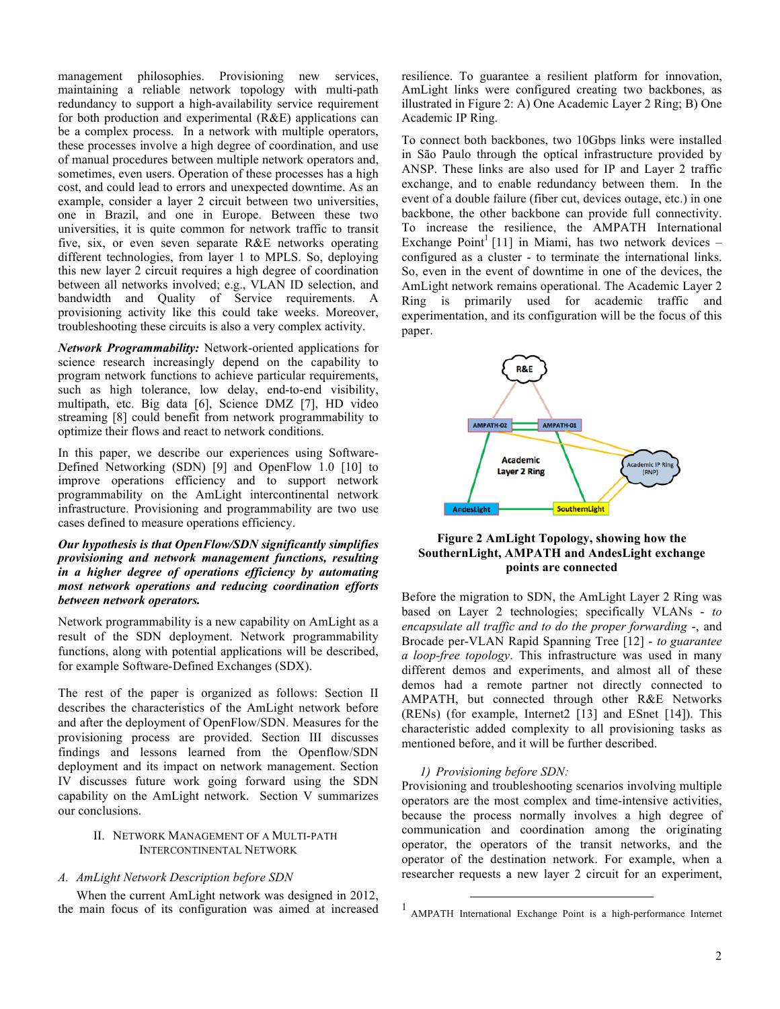management philosophies. Provisioning new services, maintaining a reliable network topology with multi-path redundancy to support a high-availability service requirement for both production and experimental (R&E) applications can be a complex process. In a network with multiple operators, these processes involve a high degree of coordination, and use of manual procedures between multiple network operators and, sometimes, even users. Operation of these processes has a high cost, and could lead to errors and unexpected downtime. As an example, consider a layer 2 circuit between two universities, one in Brazil, and one in Europe. Between these two universities, it is quite common for network traffic to transit five, six, or even seven separate R&E networks operating different technologies, from layer 1 to MPLS. So, deploying this new layer 2 circuit requires a high degree of coordination between all networks involved; e.g., VLAN ID selection, and bandwidth and Quality of Service requirements. A provisioning activity like this could take weeks. Moreover, troubleshooting these circuits is also a very complex activity.

*Network Programmability:* Network-oriented applications for science research increasingly depend on the capability to program network functions to achieve particular requirements, such as high tolerance, low delay, end-to-end visibility, multipath, etc. Big data [6], Science DMZ [7], HD video streaming [8] could benefit from network programmability to optimize their flows and react to network conditions.

In this paper, we describe our experiences using Software-Defined Networking (SDN) [9] and OpenFlow 1.0 [10] to improve operations efficiency and to support network programmability on the AmLight intercontinental network infrastructure. Provisioning and programmability are two use cases defined to measure operations efficiency.

## *Our hypothesis is that OpenFlow/SDN significantly simplifies provisioning and network management functions, resulting in a higher degree of operations efficiency by automating most network operations and reducing coordination efforts between network operators.*

Network programmability is a new capability on AmLight as a result of the SDN deployment. Network programmability functions, along with potential applications will be described, for example Software-Defined Exchanges (SDX).

The rest of the paper is organized as follows: Section II describes the characteristics of the AmLight network before and after the deployment of OpenFlow/SDN. Measures for the provisioning process are provided. Section III discusses findings and lessons learned from the Openflow/SDN deployment and its impact on network management. Section IV discusses future work going forward using the SDN capability on the AmLight network. Section V summarizes our conclusions.

## II. NETWORK MANAGEMENT OF A MULTI-PATH INTERCONTINENTAL NETWORK

## *A. AmLight Network Description before SDN*

When the current AmLight network was designed in 2012, the main focus of its configuration was aimed at increased resilience. To guarantee a resilient platform for innovation, AmLight links were configured creating two backbones, as illustrated in Figure 2: A) One Academic Layer 2 Ring; B) One Academic IP Ring.

To connect both backbones, two 10Gbps links were installed in São Paulo through the optical infrastructure provided by ANSP. These links are also used for IP and Layer 2 traffic exchange, and to enable redundancy between them. In the event of a double failure (fiber cut, devices outage, etc.) in one backbone, the other backbone can provide full connectivity. To increase the resilience, the AMPATH International Exchange Point<sup>1</sup> [11] in Miami, has two network devices – configured as a cluster - to terminate the international links. So, even in the event of downtime in one of the devices, the AmLight network remains operational. The Academic Layer 2 Ring is primarily used for academic traffic and experimentation, and its configuration will be the focus of this paper.



# **Figure 2 AmLight Topology, showing how the SouthernLight, AMPATH and AndesLight exchange points are connected**

Before the migration to SDN, the AmLight Layer 2 Ring was based on Layer 2 technologies; specifically VLANs - *to encapsulate all traffic and to do the proper forwarding* -, and Brocade per-VLAN Rapid Spanning Tree [12] - *to guarantee a loop-free topology*. This infrastructure was used in many different demos and experiments, and almost all of these demos had a remote partner not directly connected to AMPATH, but connected through other R&E Networks (RENs) (for example, Internet2 [13] and ESnet [14]). This characteristic added complexity to all provisioning tasks as mentioned before, and it will be further described.

## *1) Provisioning before SDN:*

Provisioning and troubleshooting scenarios involving multiple operators are the most complex and time-intensive activities, because the process normally involves a high degree of communication and coordination among the originating operator, the operators of the transit networks, and the operator of the destination network. For example, when a researcher requests a new layer 2 circuit for an experiment,

 <sup>1</sup> AMPATH International Exchange Point is a high-performance Internet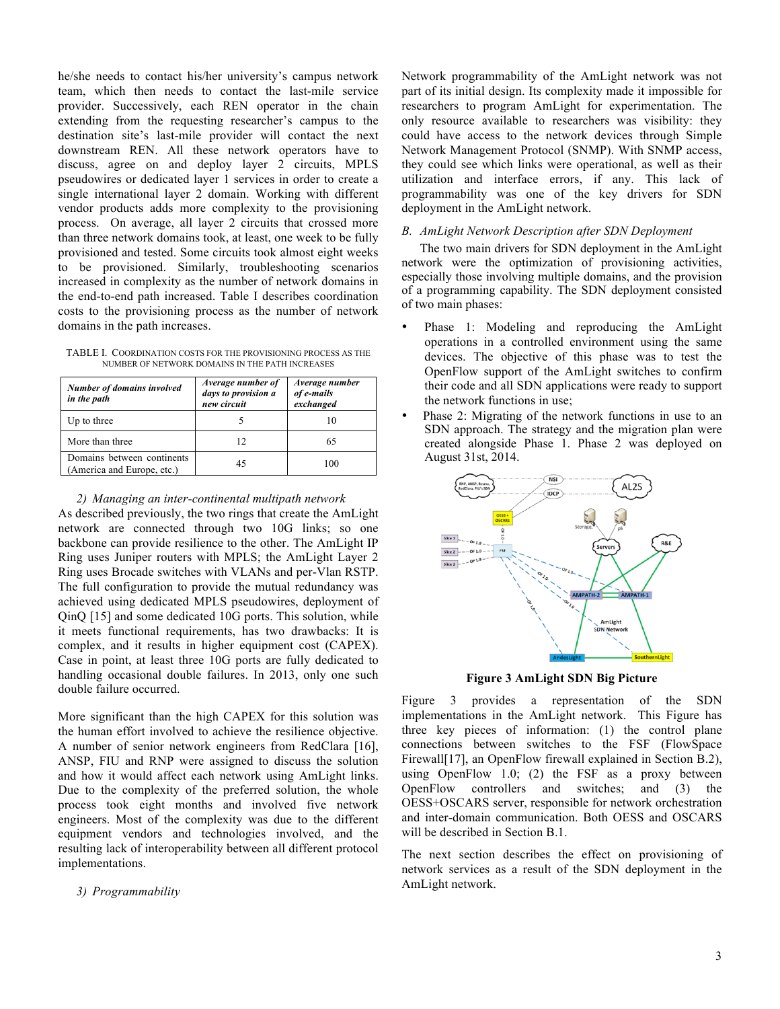he/she needs to contact his/her university's campus network team, which then needs to contact the last-mile service provider. Successively, each REN operator in the chain extending from the requesting researcher's campus to the destination site's last-mile provider will contact the next downstream REN. All these network operators have to discuss, agree on and deploy layer 2 circuits, MPLS pseudowires or dedicated layer 1 services in order to create a single international layer 2 domain. Working with different vendor products adds more complexity to the provisioning process. On average, all layer 2 circuits that crossed more than three network domains took, at least, one week to be fully provisioned and tested. Some circuits took almost eight weeks to be provisioned. Similarly, troubleshooting scenarios increased in complexity as the number of network domains in the end-to-end path increased. Table I describes coordination costs to the provisioning process as the number of network domains in the path increases.

TABLE I. COORDINATION COSTS FOR THE PROVISIONING PROCESS AS THE NUMBER OF NETWORK DOMAINS IN THE PATH INCREASES

| <b>Number of domains involved</b><br>in the path         | Average number of<br>days to provision a<br>new circuit | Average number<br>of e-mails<br>exchanged |
|----------------------------------------------------------|---------------------------------------------------------|-------------------------------------------|
| Up to three                                              |                                                         | 10                                        |
| More than three                                          | 12                                                      | 65                                        |
| Domains between continents<br>(America and Europe, etc.) | 45                                                      | 100                                       |

#### *2) Managing an inter-continental multipath network*

As described previously, the two rings that create the AmLight network are connected through two 10G links; so one backbone can provide resilience to the other. The AmLight IP Ring uses Juniper routers with MPLS; the AmLight Layer 2 Ring uses Brocade switches with VLANs and per-Vlan RSTP. The full configuration to provide the mutual redundancy was achieved using dedicated MPLS pseudowires, deployment of QinQ [15] and some dedicated 10G ports. This solution, while it meets functional requirements, has two drawbacks: It is complex, and it results in higher equipment cost (CAPEX). Case in point, at least three 10G ports are fully dedicated to handling occasional double failures. In 2013, only one such double failure occurred.

More significant than the high CAPEX for this solution was the human effort involved to achieve the resilience objective. A number of senior network engineers from RedClara [16], ANSP, FIU and RNP were assigned to discuss the solution and how it would affect each network using AmLight links. Due to the complexity of the preferred solution, the whole process took eight months and involved five network engineers. Most of the complexity was due to the different equipment vendors and technologies involved, and the resulting lack of interoperability between all different protocol implementations.

#### *3) Programmability*

Network programmability of the AmLight network was not part of its initial design. Its complexity made it impossible for researchers to program AmLight for experimentation. The only resource available to researchers was visibility: they could have access to the network devices through Simple Network Management Protocol (SNMP). With SNMP access, they could see which links were operational, as well as their utilization and interface errors, if any. This lack of programmability was one of the key drivers for SDN deployment in the AmLight network.

## *B. AmLight Network Description after SDN Deployment*

The two main drivers for SDN deployment in the AmLight network were the optimization of provisioning activities, especially those involving multiple domains, and the provision of a programming capability. The SDN deployment consisted of two main phases:

- Phase 1: Modeling and reproducing the AmLight operations in a controlled environment using the same devices. The objective of this phase was to test the OpenFlow support of the AmLight switches to confirm their code and all SDN applications were ready to support the network functions in use;
- Phase 2: Migrating of the network functions in use to an SDN approach. The strategy and the migration plan were created alongside Phase 1. Phase 2 was deployed on August 31st, 2014.



**Figure 3 AmLight SDN Big Picture**

Figure 3 provides a representation of the SDN implementations in the AmLight network. This Figure has three key pieces of information: (1) the control plane connections between switches to the FSF (FlowSpace Firewall[17], an OpenFlow firewall explained in Section B.2), using OpenFlow 1.0; (2) the FSF as a proxy between OpenFlow controllers and switches; and (3) the OESS+OSCARS server, responsible for network orchestration and inter-domain communication. Both OESS and OSCARS will be described in Section B.1.

The next section describes the effect on provisioning of network services as a result of the SDN deployment in the AmLight network.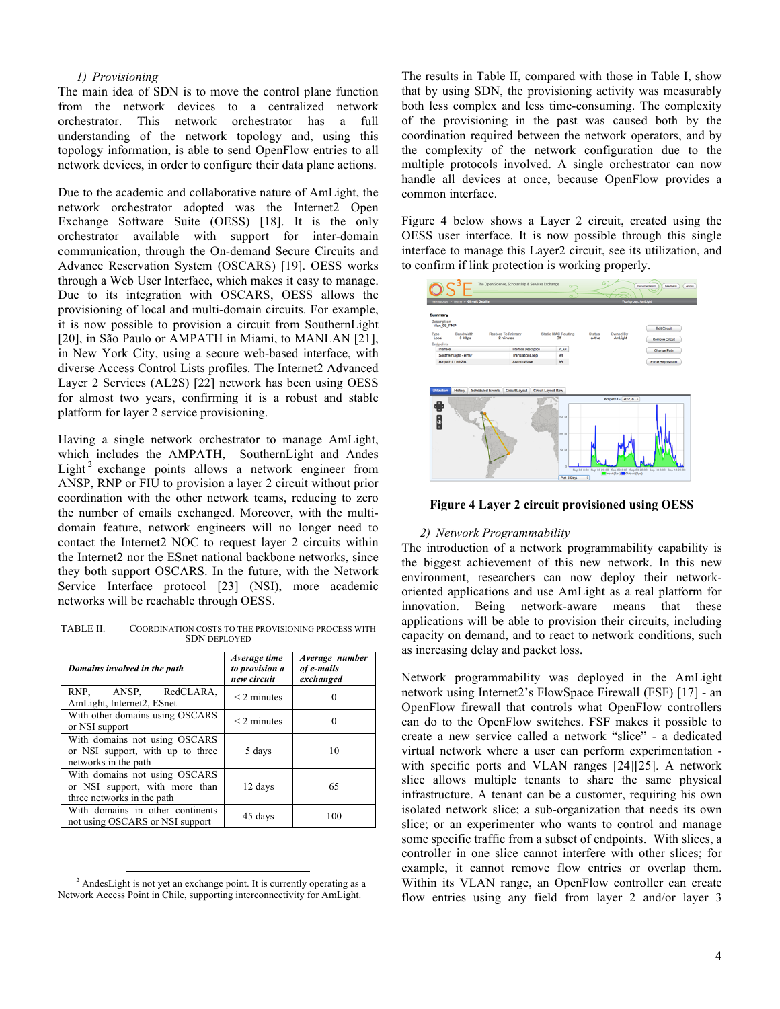#### *1) Provisioning*

The main idea of SDN is to move the control plane function from the network devices to a centralized network orchestrator. This network orchestrator has a full understanding of the network topology and, using this topology information, is able to send OpenFlow entries to all network devices, in order to configure their data plane actions.

Due to the academic and collaborative nature of AmLight, the network orchestrator adopted was the Internet2 Open Exchange Software Suite (OESS) [18]. It is the only orchestrator available with support for inter-domain communication, through the On-demand Secure Circuits and Advance Reservation System (OSCARS) [19]. OESS works through a Web User Interface, which makes it easy to manage. Due to its integration with OSCARS, OESS allows the provisioning of local and multi-domain circuits. For example, it is now possible to provision a circuit from SouthernLight [20], in São Paulo or AMPATH in Miami, to MANLAN [21], in New York City, using a secure web-based interface, with diverse Access Control Lists profiles. The Internet2 Advanced Layer 2 Services (AL2S) [22] network has been using OESS for almost two years, confirming it is a robust and stable platform for layer 2 service provisioning.

Having a single network orchestrator to manage AmLight, which includes the AMPATH, SouthernLight and Andes Light<sup>2</sup> exchange points allows a network engineer from ANSP, RNP or FIU to provision a layer 2 circuit without prior coordination with the other network teams, reducing to zero the number of emails exchanged. Moreover, with the multidomain feature, network engineers will no longer need to contact the Internet2 NOC to request layer 2 circuits within the Internet2 nor the ESnet national backbone networks, since they both support OSCARS. In the future, with the Network Service Interface protocol [23] (NSI), more academic networks will be reachable through OESS.

TABLE II. COORDINATION COSTS TO THE PROVISIONING PROCESS WITH SDN DEPLOYED

| Domains involved in the path                                                                  | Average time<br>to provision a<br>new circuit | Average number<br>of e-mails<br>exchanged |
|-----------------------------------------------------------------------------------------------|-----------------------------------------------|-------------------------------------------|
| RNP, ANSP, RedCLARA,<br>AmLight, Internet2, ESnet                                             | $<$ 2 minutes                                 |                                           |
| With other domains using OSCARS<br>or NSI support                                             | $<$ 2 minutes                                 |                                           |
| With domains not using OSCARS<br>or NSI support, with up to three<br>networks in the path     | 5 days                                        | 10                                        |
| With domains not using OSCARS<br>or NSI support, with more than<br>three networks in the path | 12 days                                       | 65                                        |
| With domains in other continents<br>not using OSCARS or NSI support                           | 45 days                                       | 100                                       |

<sup>&</sup>lt;sup>2</sup> AndesLight is not yet an exchange point. It is currently operating as a Network Access Point in Chile, supporting interconnectivity for AmLight.

The results in Table II, compared with those in Table I, show that by using SDN, the provisioning activity was measurably both less complex and less time-consuming. The complexity of the provisioning in the past was caused both by the coordination required between the network operators, and by the complexity of the network configuration due to the multiple protocols involved. A single orchestrator can now handle all devices at once, because OpenFlow provides a common interface.

Figure 4 below shows a Layer 2 circuit, created using the OESS user interface. It is now possible through this single interface to manage this Layer2 circuit, see its utilization, and to confirm if link protection is working properly.



**Figure 4 Layer 2 circuit provisioned using OESS**

# *2) Network Programmability*

The introduction of a network programmability capability is the biggest achievement of this new network. In this new environment, researchers can now deploy their networkoriented applications and use AmLight as a real platform for innovation. Being network-aware means that these applications will be able to provision their circuits, including capacity on demand, and to react to network conditions, such as increasing delay and packet loss.

Network programmability was deployed in the AmLight network using Internet2's FlowSpace Firewall (FSF) [17] - an OpenFlow firewall that controls what OpenFlow controllers can do to the OpenFlow switches. FSF makes it possible to create a new service called a network "slice" - a dedicated virtual network where a user can perform experimentation with specific ports and VLAN ranges [24][25]. A network slice allows multiple tenants to share the same physical infrastructure. A tenant can be a customer, requiring his own isolated network slice; a sub-organization that needs its own slice; or an experimenter who wants to control and manage some specific traffic from a subset of endpoints. With slices, a controller in one slice cannot interfere with other slices; for example, it cannot remove flow entries or overlap them. Within its VLAN range, an OpenFlow controller can create flow entries using any field from layer 2 and/or layer 3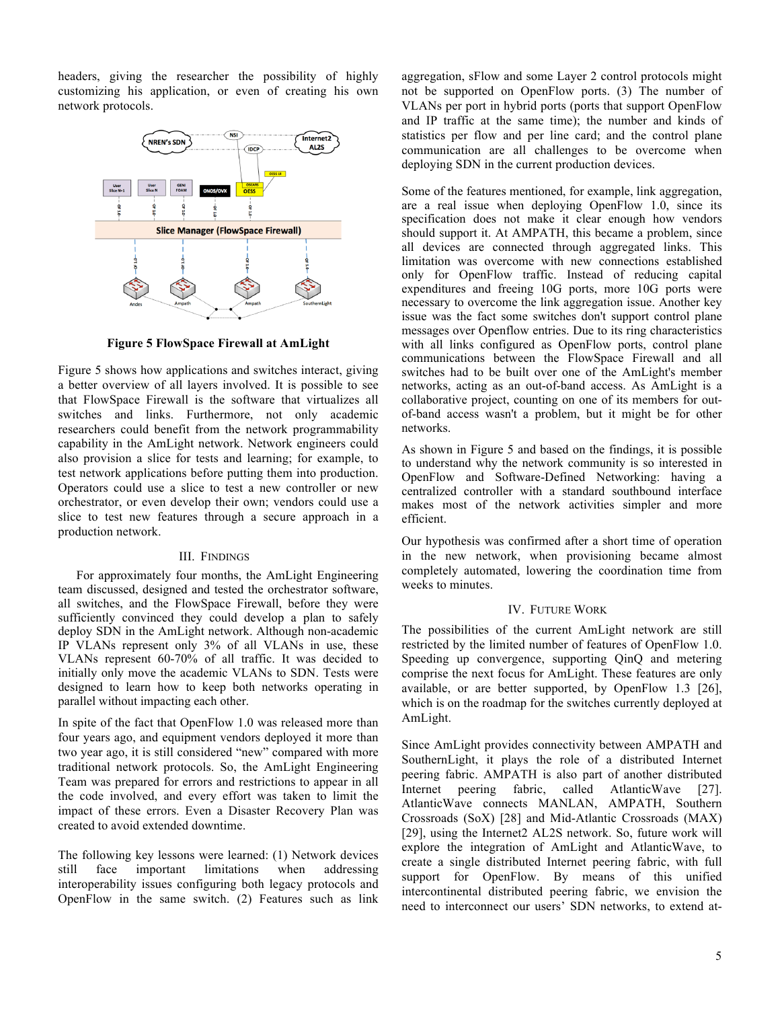headers, giving the researcher the possibility of highly customizing his application, or even of creating his own network protocols.



**Figure 5 FlowSpace Firewall at AmLight**

Figure 5 shows how applications and switches interact, giving a better overview of all layers involved. It is possible to see that FlowSpace Firewall is the software that virtualizes all switches and links. Furthermore, not only academic researchers could benefit from the network programmability capability in the AmLight network. Network engineers could also provision a slice for tests and learning; for example, to test network applications before putting them into production. Operators could use a slice to test a new controller or new orchestrator, or even develop their own; vendors could use a slice to test new features through a secure approach in a production network.

# III. FINDINGS

For approximately four months, the AmLight Engineering team discussed, designed and tested the orchestrator software, all switches, and the FlowSpace Firewall, before they were sufficiently convinced they could develop a plan to safely deploy SDN in the AmLight network. Although non-academic IP VLANs represent only 3% of all VLANs in use, these VLANs represent 60-70% of all traffic. It was decided to initially only move the academic VLANs to SDN. Tests were designed to learn how to keep both networks operating in parallel without impacting each other.

In spite of the fact that OpenFlow 1.0 was released more than four years ago, and equipment vendors deployed it more than two year ago, it is still considered "new" compared with more traditional network protocols. So, the AmLight Engineering Team was prepared for errors and restrictions to appear in all the code involved, and every effort was taken to limit the impact of these errors. Even a Disaster Recovery Plan was created to avoid extended downtime.

The following key lessons were learned: (1) Network devices still face important limitations when addressing interoperability issues configuring both legacy protocols and OpenFlow in the same switch. (2) Features such as link

aggregation, sFlow and some Layer 2 control protocols might not be supported on OpenFlow ports. (3) The number of VLANs per port in hybrid ports (ports that support OpenFlow and IP traffic at the same time); the number and kinds of statistics per flow and per line card; and the control plane communication are all challenges to be overcome when deploying SDN in the current production devices.

Some of the features mentioned, for example, link aggregation, are a real issue when deploying OpenFlow 1.0, since its specification does not make it clear enough how vendors should support it. At AMPATH, this became a problem, since all devices are connected through aggregated links. This limitation was overcome with new connections established only for OpenFlow traffic. Instead of reducing capital expenditures and freeing 10G ports, more 10G ports were necessary to overcome the link aggregation issue. Another key issue was the fact some switches don't support control plane messages over Openflow entries. Due to its ring characteristics with all links configured as OpenFlow ports, control plane communications between the FlowSpace Firewall and all switches had to be built over one of the AmLight's member networks, acting as an out-of-band access. As AmLight is a collaborative project, counting on one of its members for outof-band access wasn't a problem, but it might be for other networks.

As shown in Figure 5 and based on the findings, it is possible to understand why the network community is so interested in OpenFlow and Software-Defined Networking: having a centralized controller with a standard southbound interface makes most of the network activities simpler and more efficient.

Our hypothesis was confirmed after a short time of operation in the new network, when provisioning became almost completely automated, lowering the coordination time from weeks to minutes.

# IV. FUTURE WORK

The possibilities of the current AmLight network are still restricted by the limited number of features of OpenFlow 1.0. Speeding up convergence, supporting QinQ and metering comprise the next focus for AmLight. These features are only available, or are better supported, by OpenFlow 1.3 [26], which is on the roadmap for the switches currently deployed at AmLight.

Since AmLight provides connectivity between AMPATH and SouthernLight, it plays the role of a distributed Internet peering fabric. AMPATH is also part of another distributed Internet peering fabric, called AtlanticWave [27]. AtlanticWave connects MANLAN, AMPATH, Southern Crossroads (SoX) [28] and Mid-Atlantic Crossroads (MAX) [29], using the Internet2 AL2S network. So, future work will explore the integration of AmLight and AtlanticWave, to create a single distributed Internet peering fabric, with full support for OpenFlow. By means of this unified intercontinental distributed peering fabric, we envision the need to interconnect our users' SDN networks, to extend at